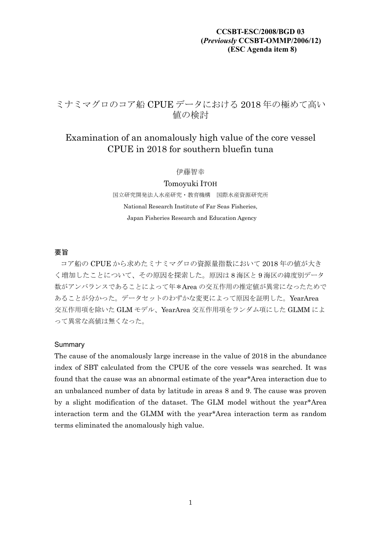# ミナミマグロのコア船 CPUE データにおける 2018 年の極めて高い 値の検討

# Examination of an anomalously high value of the core vessel CPUE in 2018 for southern bluefin tuna

伊藤智幸

Tomoyuki ITOH 国立研究開発法人水産研究・教育機構 国際水産資源研究所 National Research Institute of Far Seas Fisheries, Japan Fisheries Research and Education Agency

### 要旨

コア船の CPUE から求めたミナミマグロの資源量指数において 2018 年の値が大き く増加したことについて、その原因を探索した。原因は 8 海区と 9 海区の緯度別データ 数がアンバランスであることによって年\*Area の交互作用の推定値が異常になったためで あることが分かった。データセットのわずかな変更によって原因を証明した。YearArea 交互作用項を除いた GLM モデル、YearArea 交互作用項をランダム項にした GLMM によ って異常な高値は無くなった。

### Summary

The cause of the anomalously large increase in the value of 2018 in the abundance index of SBT calculated from the CPUE of the core vessels was searched. It was found that the cause was an abnormal estimate of the year\*Area interaction due to an unbalanced number of data by latitude in areas 8 and 9. The cause was proven by a slight modification of the dataset. The GLM model without the year\*Area interaction term and the GLMM with the year\*Area interaction term as random terms eliminated the anomalously high value.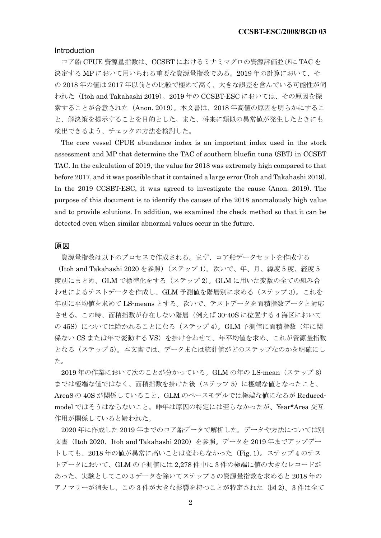#### Introduction

コア船 CPUE 資源量指数は、CCSBT におけるミナミマグロの資源評価並びに TAC を 決定する MP において用いられる重要な資源量指数である。2019 年の計算において、そ の 2018 年の値は 2017 年以前との比較で極めて高く、大きな誤差を含んでいる可能性が伺 われた(Itoh and Takahashi 2019)。2019 年の CCSBT-ESC においては、その原因を探 索することが合意された (Anon. 2019)。本文書は、2018 年高値の原因を明らかにするこ と、解決策を提示することを目的とした。また、将来に類似の異常値が発生したときにも 検出できるよう、チェックの方法を検討した。

The core vessel CPUE abundance index is an important index used in the stock assessment and MP that determine the TAC of southern bluefin tuna (SBT) in CCSBT TAC. In the calculation of 2019, the value for 2018 was extremely high compared to that before 2017, and it was possible that it contained a large error (Itoh and Takahashi 2019). In the 2019 CCSBT-ESC, it was agreed to investigate the cause (Anon. 2019). The purpose of this document is to identify the causes of the 2018 anomalously high value and to provide solutions. In addition, we examined the check method so that it can be detected even when similar abnormal values occur in the future.

### 原因

資源量指数は以下のプロセスで作成される。まず、コア船データセットを作成する (Itoh and Takahashi 2020 を参照)(ステップ 1)。次いで、年、月、緯度 5 度、経度 5 度別にまとめ、GLM で標準化をする(ステップ 2)。GLM に用いた変数の全ての組み合 わせによるテストデータを作成し、GLM 予測値を階層別に求める(ステップ 3)。これを 年別に平均値を求めて LS-means とする。次いで、テストデータを面積指数データと対応 させる。この時、面積指数が存在しない階層(例えば 30-40S に位置する 4 海区において の 45S)については除かれることになる(ステップ 4)。GLM 予測値に面積指数(年に関 係ない CS または年で変動する VS)を掛け合わせて、年平均値を求め、これが資源量指数 となる(ステップ5)。本文書では、データまたは統計値がどのステップなのかを明確にし た。

2019 年の作業において次のことが分かっている。GLM の年の LS-mean(ステップ 3) までは極端な値ではなく、面積指数を掛けた後(ステップ5)に極端な値となったこと、 Area8 の 40S が関係していること、GLM のベースモデルでは極端な値になるが Reducedmodel ではそうはならないこと。昨年は原因の特定には至らなかったが、Year\*Area 交互 作用が関係していると疑われた。

2020 年に作成した 2019 年までのコア船データで解析した。データや方法については別 文書 (Itoh 2020、Itoh and Takahashi 2020) を参照。データを 2019 年までアップデー トしても、2018 年の値が異常に高いことは変わらなかった(Fig. 1)。ステップ 4 のテス トデータにおいて、GLM の予測値には 2,278 件中に 3 件の極端に値の大きなレコードが あった。実験としてこの 3 データを除いてステップ 5 の資源量指数を求めると 2018 年の アノマリーが消失し、この3件が大きな影響を持つことが特定された(図2)。3件は全て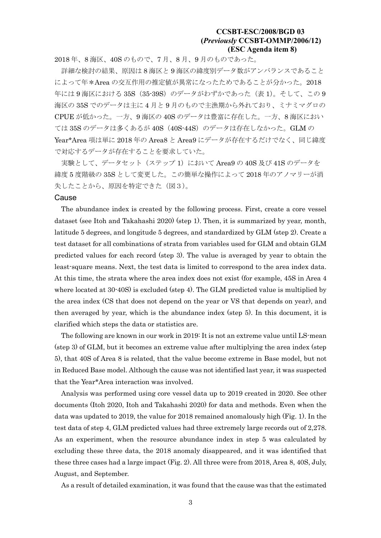2018 年、8 海区、40S のもので、7 月、8 月、9 月のものであった。

詳細な検討の結果、原因は 8 海区と 9 海区の緯度別データ数がアンバランスであること によって年\*Area の交互作用の推定値が異常になったためであることが分かった。2018 年には9海区における 35S (35-39S)のデータがわずかであった (表 1)。そして、この 9 海区の 35S でのデータは主に 4 月と 9 月のもので主漁期から外れており、ミナミマグロの CPUE が低かった。一方、9 海区の 40S のデータは豊富に存在した。一方、8 海区におい ては 35S のデータは多くあるが 40S (40S-44S)のデータは存在しなかった。GLM の Year\*Area 項は単に 2018 年の Area8 と Area9 にデータが存在するだけでなく、同じ緯度 で対応するデータが存在することを要求していた。

実験として、データセット (ステップ 1) において Area 9の 40S 及び 41S のデータを 緯度 5 度階級の 35S として変更した。この簡単な操作によって 2018 年のアノマリーが消 失したことから、原因を特定できた(図3)。

#### Cause

The abundance index is created by the following process. First, create a core vessel dataset (see Itoh and Takahashi 2020) (step 1). Then, it is summarized by year, month, latitude 5 degrees, and longitude 5 degrees, and standardized by GLM (step 2). Create a test dataset for all combinations of strata from variables used for GLM and obtain GLM predicted values for each record (step 3). The value is averaged by year to obtain the least-square means. Next, the test data is limited to correspond to the area index data. At this time, the strata where the area index does not exist (for example, 45S in Area 4 where located at 30-40S) is excluded (step 4). The GLM predicted value is multiplied by the area index (CS that does not depend on the year or VS that depends on year), and then averaged by year, which is the abundance index (step 5). In this document, it is clarified which steps the data or statistics are.

The following are known in our work in 2019: It is not an extreme value until LS-mean (step 3) of GLM, but it becomes an extreme value after multiplying the area index (step 5), that 40S of Area 8 is related, that the value become extreme in Base model, but not in Reduced Base model. Although the cause was not identified last year, it was suspected that the Year\*Area interaction was involved.

Analysis was performed using core vessel data up to 2019 created in 2020. See other documents (Itoh 2020, Itoh and Takahashi 2020) for data and methods. Even when the data was updated to 2019, the value for 2018 remained anomalously high (Fig. 1). In the test data of step 4, GLM predicted values had three extremely large records out of 2,278. As an experiment, when the resource abundance index in step 5 was calculated by excluding these three data, the 2018 anomaly disappeared, and it was identified that these three cases had a large impact (Fig. 2). All three were from 2018, Area 8, 40S, July, August, and September.

As a result of detailed examination, it was found that the cause was that the estimated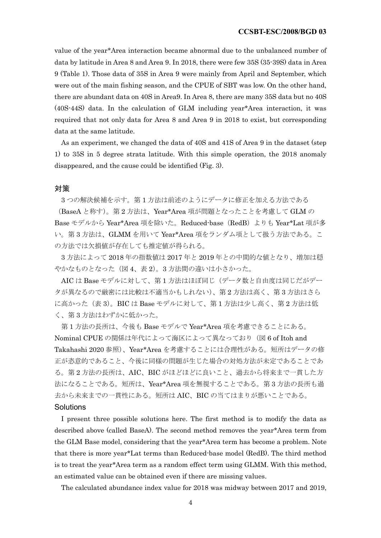value of the year\*Area interaction became abnormal due to the unbalanced number of data by latitude in Area 8 and Area 9. In 2018, there were few 35S (35-39S) data in Area 9 (Table 1). Those data of 35S in Area 9 were mainly from April and September, which were out of the main fishing season, and the CPUE of SBT was low. On the other hand, there are abundant data on 40S in Area9. In Area 8, there are many 35S data but no 40S (40S-44S) data. In the calculation of GLM including year\*Area interaction, it was required that not only data for Area 8 and Area 9 in 2018 to exist, but corresponding data at the same latitude.

As an experiment, we changed the data of 40S and 41S of Area 9 in the dataset (step 1) to 35S in 5 degree strata latitude. With this simple operation, the 2018 anomaly disappeared, and the cause could be identified (Fig. 3).

#### 対策

3 つの解決候補を示す。第 1 方法は前述のようにデータに修正を加える方法である

(BaseA と称す)。第 2 方法は、Year\*Area 項が問題となったことを考慮して GLM の Base モデルから Year\*Area 項を除いた。Reduced-base (RedB) よりも Year\*Lat 項が多 い。第 3 方法は、GLMM を用いて Year\*Area 項をランダム項として扱う方法である。こ の方法では欠損値が存在しても推定値が得られる。

3 方法によって 2018 年の指数値は 2017 年と 2019 年との中間的な値となり、増加は穏 やかなものとなった(図 4、表 2)。3 方法間の違いは小さかった。

AIC は Base モデルに対して、第 1 方法はほぼ同じ(データ数と自由度は同じだがデー タが異なるので厳密には比較は不適当かもしれない)、第 2 方法は高く、第 3 方法はさら に高かった(表3)。BICは Base モデルに対して、第1方法は少し高く、第2方法は低 く、第 3 方法はわずかに低かった。

第 1 方法の長所は、今後も Base モデルで Year\*Area 項を考慮できることにある。 Nominal CPUE の関係は年代によって海区によって異なっており(図 6 of Itoh and Takahashi 2020 参照)、Year\*Area を考慮することには合理性がある。短所はデータの修 正が恣意的であること、今後に同様の問題が生じた場合の対処方法が未定であることであ る。第 2 方法の長所は、AIC、BIC がほどほどに良いこと、過去から将来まで一貫した方 法になることである。短所は、Year\*Area 項を無視することである。第 3 方法の長所も過 去から未来までの一貫性にある。短所は AIC、BIC の当てはまりが悪いことである。

### Solutions

I present three possible solutions here. The first method is to modify the data as described above (called BaseA). The second method removes the year\*Area term from the GLM Base model, considering that the year\*Area term has become a problem. Note that there is more year\*Lat terms than Reduced-base model (RedB). The third method is to treat the year\*Area term as a random effect term using GLMM. With this method, an estimated value can be obtained even if there are missing values.

The calculated abundance index value for 2018 was midway between 2017 and 2019,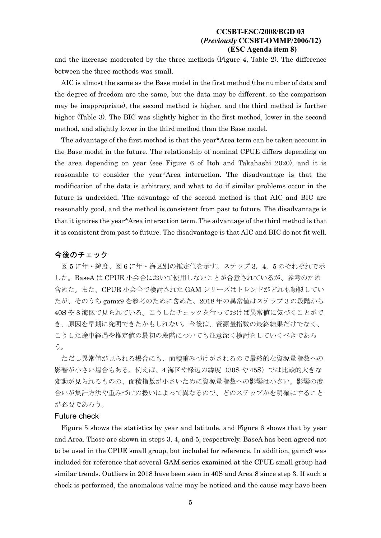and the increase moderated by the three methods (Figure 4, Table 2). The difference between the three methods was small.

AIC is almost the same as the Base model in the first method (the number of data and the degree of freedom are the same, but the data may be different, so the comparison may be inappropriate), the second method is higher, and the third method is further higher (Table 3). The BIC was slightly higher in the first method, lower in the second method, and slightly lower in the third method than the Base model.

The advantage of the first method is that the year\*Area term can be taken account in the Base model in the future. The relationship of nominal CPUE differs depending on the area depending on year (see Figure 6 of Itoh and Takahashi 2020), and it is reasonable to consider the year\*Area interaction. The disadvantage is that the modification of the data is arbitrary, and what to do if similar problems occur in the future is undecided. The advantage of the second method is that AIC and BIC are reasonably good, and the method is consistent from past to future. The disadvantage is that it ignores the year\*Area interaction term. The advantage of the third method is that it is consistent from past to future. The disadvantage is that AIC and BIC do not fit well.

### 今後のチェック

図5に年・緯度、図6に年・海区別の推定値を示す。ステップ3,4,5のそれぞれで示 した。BaseA は CPUE 小会合において使用しないことが合意されているが、参考のため 含めた。また、CPUE 小会合で検討された GAM シリーズはトレンドがどれも類似してい たが、そのうち gamx9 を参考のために含めた。2018 年の異常値はステップ 3 の段階から 40S や 8 海区で見られている。こうしたチェックを行っておけば異常値に気づくことがで き、原因を早期に究明できたかもしれない。今後は、資源量指数の最終結果だけでなく、 こうした涂中経過や推定値の最初の段階についても注意深く検討をしていくべきであろ う。

ただし異常値が見られる場合にも、面積重みづけがされるので最終的な資源量指数への 影響が小さい場合もある。例えば、4 海区や縁辺の緯度(30S や 45S)では比較的大きな 変動が見られるものの、面積指数が小さいために資源量指数への影響は小さい。影響の度 合いが集計方法や重みづけの扱いによって異なるので、どのステップかを明確にすること が必要であろう。

### Future check

Figure 5 shows the statistics by year and latitude, and Figure 6 shows that by year and Area. Those are shown in steps 3, 4, and 5, respectively. BaseA has been agreed not to be used in the CPUE small group, but included for reference. In addition, gamx9 was included for reference that several GAM series examined at the CPUE small group had similar trends. Outliers in 2018 have been seen in 40S and Area 8 since step 3. If such a check is performed, the anomalous value may be noticed and the cause may have been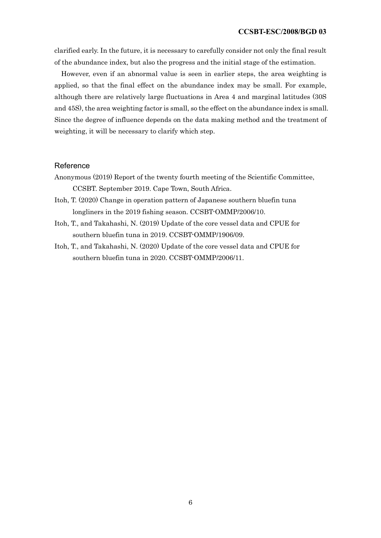clarified early. In the future, it is necessary to carefully consider not only the final result of the abundance index, but also the progress and the initial stage of the estimation.

However, even if an abnormal value is seen in earlier steps, the area weighting is applied, so that the final effect on the abundance index may be small. For example, although there are relatively large fluctuations in Area 4 and marginal latitudes (30S and 45S), the area weighting factor is small, so the effect on the abundance index is small. Since the degree of influence depends on the data making method and the treatment of weighting, it will be necessary to clarify which step.

### Reference

- Anonymous (2019) Report of the twenty fourth meeting of the Scientific Committee, CCSBT. September 2019. Cape Town, South Africa.
- Itoh, T. (2020) Change in operation pattern of Japanese southern bluefin tuna longliners in the 2019 fishing season. CCSBT-OMMP/2006/10.
- Itoh, T., and Takahashi, N. (2019) Update of the core vessel data and CPUE for southern bluefin tuna in 2019. CCSBT-OMMP/1906/09.
- Itoh, T., and Takahashi, N. (2020) Update of the core vessel data and CPUE for southern bluefin tuna in 2020. CCSBT-OMMP/2006/11.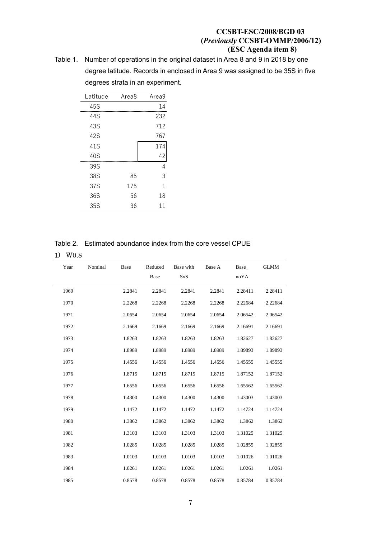Table 1. Number of operations in the original dataset in Area 8 and 9 in 2018 by one degree latitude. Records in enclosed in Area 9 was assigned to be 35S in five degrees strata in an experiment.

| Latitude | Area8 | Area9 |
|----------|-------|-------|
| 45S      |       | 14    |
| 44S      |       | 232   |
| 43S      |       | 712   |
| 42S      |       | 767   |
| 41S      |       | 174   |
| 40S      |       | 42    |
| 39S      |       | 4     |
| 38S      | 85    | 3     |
| 37S      | 175   | 1     |
| 36S      | 56    | 18    |
| 35S      | 36    | 11    |

| Table 2. Estimated abundance index from the core vessel CPUE |  |
|--------------------------------------------------------------|--|
|--------------------------------------------------------------|--|

| $^{\circ}$ |
|------------|
|            |

| Year | Nominal | Base   | Reduced<br>Base | Base with<br><b>SxS</b> | Base A | Base<br>noYA | <b>GLMM</b> |
|------|---------|--------|-----------------|-------------------------|--------|--------------|-------------|
| 1969 |         | 2.2841 | 2.2841          | 2.2841                  | 2.2841 | 2.28411      | 2.28411     |
| 1970 |         | 2.2268 | 2.2268          | 2.2268                  | 2.2268 | 2.22684      | 2.22684     |
| 1971 |         | 2.0654 | 2.0654          | 2.0654                  | 2.0654 | 2.06542      | 2.06542     |
| 1972 |         | 2.1669 | 2.1669          | 2.1669                  | 2.1669 | 2.16691      | 2.16691     |
| 1973 |         | 1.8263 | 1.8263          | 1.8263                  | 1.8263 | 1.82627      | 1.82627     |
| 1974 |         | 1.8989 | 1.8989          | 1.8989                  | 1.8989 | 1.89893      | 1.89893     |
| 1975 |         | 1.4556 | 1.4556          | 1.4556                  | 1.4556 | 1.45555      | 1.45555     |
| 1976 |         | 1.8715 | 1.8715          | 1.8715                  | 1.8715 | 1.87152      | 1.87152     |
| 1977 |         | 1.6556 | 1.6556          | 1.6556                  | 1.6556 | 1.65562      | 1.65562     |
| 1978 |         | 1.4300 | 1.4300          | 1.4300                  | 1.4300 | 1.43003      | 1.43003     |
| 1979 |         | 1.1472 | 1.1472          | 1.1472                  | 1.1472 | 1.14724      | 1.14724     |
| 1980 |         | 1.3862 | 1.3862          | 1.3862                  | 1.3862 | 1.3862       | 1.3862      |
| 1981 |         | 1.3103 | 1.3103          | 1.3103                  | 1.3103 | 1.31025      | 1.31025     |
| 1982 |         | 1.0285 | 1.0285          | 1.0285                  | 1.0285 | 1.02855      | 1.02855     |
| 1983 |         | 1.0103 | 1.0103          | 1.0103                  | 1.0103 | 1.01026      | 1.01026     |
| 1984 |         | 1.0261 | 1.0261          | 1.0261                  | 1.0261 | 1.0261       | 1.0261      |
| 1985 |         | 0.8578 | 0.8578          | 0.8578                  | 0.8578 | 0.85784      | 0.85784     |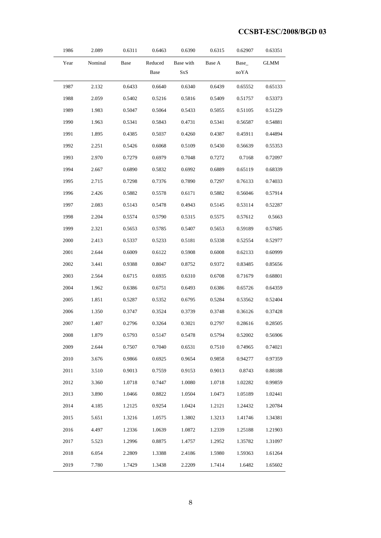| 1986 | 2.089   | 0.6311 | 0.6463          | 0.6390           | 0.6315 | 0.62907      | 0.63351     |
|------|---------|--------|-----------------|------------------|--------|--------------|-------------|
| Year | Nominal | Base   | Reduced<br>Base | Base with<br>SxS | Base A | Base<br>noYA | <b>GLMM</b> |
| 1987 | 2.132   | 0.6433 | 0.6640          | 0.6340           | 0.6439 | 0.65552      | 0.65133     |
| 1988 | 2.059   | 0.5402 | 0.5216          | 0.5816           | 0.5409 | 0.51757      | 0.53373     |
| 1989 | 1.983   | 0.5047 | 0.5064          | 0.5433           | 0.5055 | 0.51105      | 0.51229     |
| 1990 | 1.963   | 0.5341 | 0.5843          | 0.4731           | 0.5341 | 0.56587      | 0.54881     |
| 1991 | 1.895   | 0.4385 | 0.5037          | 0.4260           | 0.4387 | 0.45911      | 0.44894     |
| 1992 | 2.251   | 0.5426 | 0.6068          | 0.5109           | 0.5430 | 0.56639      | 0.55353     |
| 1993 | 2.970   | 0.7279 | 0.6979          | 0.7048           | 0.7272 | 0.7168       | 0.72097     |
| 1994 | 2.667   | 0.6890 | 0.5832          | 0.6992           | 0.6889 | 0.65119      | 0.68339     |
| 1995 | 2.715   | 0.7298 | 0.7376          | 0.7890           | 0.7297 | 0.76133      | 0.74033     |
| 1996 | 2.426   | 0.5882 | 0.5578          | 0.6171           | 0.5882 | 0.56046      | 0.57914     |
| 1997 | 2.083   | 0.5143 | 0.5478          | 0.4943           | 0.5145 | 0.53114      | 0.52287     |
| 1998 | 2.204   | 0.5574 | 0.5790          | 0.5315           | 0.5575 | 0.57612      | 0.5663      |
| 1999 | 2.321   | 0.5653 | 0.5785          | 0.5407           | 0.5653 | 0.59189      | 0.57685     |
| 2000 | 2.413   | 0.5337 | 0.5233          | 0.5181           | 0.5338 | 0.52554      | 0.52977     |
| 2001 | 2.644   | 0.6009 | 0.6122          | 0.5908           | 0.6008 | 0.62133      | 0.60999     |
| 2002 | 3.441   | 0.9388 | 0.8047          | 0.8752           | 0.9372 | 0.83485      | 0.85656     |
| 2003 | 2.564   | 0.6715 | 0.6935          | 0.6310           | 0.6708 | 0.71679      | 0.68801     |
| 2004 | 1.962   | 0.6386 | 0.6751          | 0.6493           | 0.6386 | 0.65726      | 0.64359     |
| 2005 | 1.851   | 0.5287 | 0.5352          | 0.6795           | 0.5284 | 0.53562      | 0.52404     |
| 2006 | 1.350   | 0.3747 | 0.3524          | 0.3739           | 0.3748 | 0.36126      | 0.37428     |
| 2007 | 1.407   | 0.2796 | 0.3264          | 0.3021           | 0.2797 | 0.28616      | 0.28505     |
| 2008 | 1.879   | 0.5793 | 0.5147          | 0.5478           | 0.5794 | 0.52002      | 0.56906     |
| 2009 | 2.644   | 0.7507 | 0.7040          | 0.6531           | 0.7510 | 0.74965      | 0.74021     |
| 2010 | 3.676   | 0.9866 | 0.6925          | 0.9654           | 0.9858 | 0.94277      | 0.97359     |
| 2011 | 3.510   | 0.9013 | 0.7559          | 0.9153           | 0.9013 | 0.8743       | 0.88188     |
| 2012 | 3.360   | 1.0718 | 0.7447          | 1.0080           | 1.0718 | 1.02282      | 0.99859     |
| 2013 | 3.890   | 1.0466 | 0.8822          | 1.0504           | 1.0473 | 1.05189      | 1.02441     |
| 2014 | 4.185   | 1.2125 | 0.9254          | 1.0424           | 1.2121 | 1.24432      | 1.20784     |
| 2015 | 5.651   | 1.3216 | 1.0575          | 1.3802           | 1.3213 | 1.41746      | 1.34381     |
| 2016 | 4.497   | 1.2336 | 1.0639          | 1.0872           | 1.2339 | 1.25188      | 1.21903     |
| 2017 | 5.523   | 1.2996 | 0.8875          | 1.4757           | 1.2952 | 1.35782      | 1.31097     |
| 2018 | 6.054   | 2.2809 | 1.3388          | 2.4186           | 1.5980 | 1.59363      | 1.61264     |
| 2019 | 7.780   | 1.7429 | 1.3438          | 2.2209           | 1.7414 | 1.6482       | 1.65602     |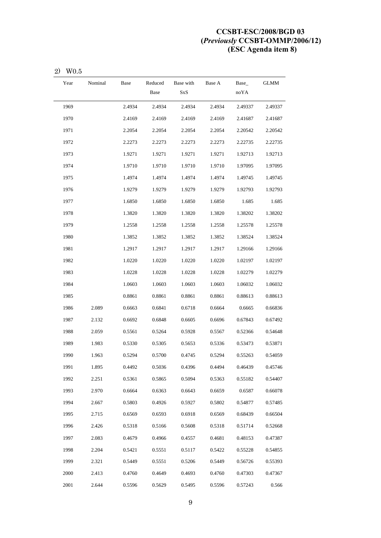| Year | Nominal | Base   | Reduced<br>Base | Base with<br><b>SxS</b> | Base A | Base_<br>noYA | GLMM    |
|------|---------|--------|-----------------|-------------------------|--------|---------------|---------|
| 1969 |         | 2.4934 | 2.4934          | 2.4934                  | 2.4934 | 2.49337       | 2.49337 |
| 1970 |         | 2.4169 | 2.4169          | 2.4169                  | 2.4169 | 2.41687       | 2.41687 |
| 1971 |         | 2.2054 | 2.2054          | 2.2054                  | 2.2054 | 2.20542       | 2.20542 |
| 1972 |         | 2.2273 | 2.2273          | 2.2273                  | 2.2273 | 2.22735       | 2.22735 |
| 1973 |         | 1.9271 | 1.9271          | 1.9271                  | 1.9271 | 1.92713       | 1.92713 |
| 1974 |         | 1.9710 | 1.9710          | 1.9710                  | 1.9710 | 1.97095       | 1.97095 |
| 1975 |         | 1.4974 | 1.4974          | 1.4974                  | 1.4974 | 1.49745       | 1.49745 |
| 1976 |         | 1.9279 | 1.9279          | 1.9279                  | 1.9279 | 1.92793       | 1.92793 |
| 1977 |         | 1.6850 | 1.6850          | 1.6850                  | 1.6850 | 1.685         | 1.685   |
| 1978 |         | 1.3820 | 1.3820          | 1.3820                  | 1.3820 | 1.38202       | 1.38202 |
| 1979 |         | 1.2558 | 1.2558          | 1.2558                  | 1.2558 | 1.25578       | 1.25578 |
| 1980 |         | 1.3852 | 1.3852          | 1.3852                  | 1.3852 | 1.38524       | 1.38524 |
| 1981 |         | 1.2917 | 1.2917          | 1.2917                  | 1.2917 | 1.29166       | 1.29166 |
| 1982 |         | 1.0220 | 1.0220          | 1.0220                  | 1.0220 | 1.02197       | 1.02197 |
| 1983 |         | 1.0228 | 1.0228          | 1.0228                  | 1.0228 | 1.02279       | 1.02279 |
| 1984 |         | 1.0603 | 1.0603          | 1.0603                  | 1.0603 | 1.06032       | 1.06032 |
| 1985 |         | 0.8861 | 0.8861          | 0.8861                  | 0.8861 | 0.88613       | 0.88613 |
| 1986 | 2.089   | 0.6663 | 0.6841          | 0.6718                  | 0.6664 | 0.6665        | 0.66836 |
| 1987 | 2.132   | 0.6692 | 0.6848          | 0.6605                  | 0.6696 | 0.67843       | 0.67492 |
| 1988 | 2.059   | 0.5561 | 0.5264          | 0.5928                  | 0.5567 | 0.52366       | 0.54648 |
| 1989 | 1.983   | 0.5330 | 0.5305          | 0.5653                  | 0.5336 | 0.53473       | 0.53871 |
| 1990 | 1.963   | 0.5294 | 0.5700          | 0.4745                  | 0.5294 | 0.55263       | 0.54059 |
| 1991 | 1.895   | 0.4492 | 0.5036          | 0.4396                  | 0.4494 | 0.46439       | 0.45746 |
| 1992 | 2.251   | 0.5361 | 0.5865          | 0.5094                  | 0.5363 | 0.55182       | 0.54407 |
| 1993 | 2.970   | 0.6664 | 0.6363          | 0.6643                  | 0.6659 | 0.6587        | 0.66078 |
| 1994 | 2.667   | 0.5803 | 0.4926          | 0.5927                  | 0.5802 | 0.54877       | 0.57485 |
| 1995 | 2.715   | 0.6569 | 0.6593          | 0.6918                  | 0.6569 | 0.68439       | 0.66504 |
| 1996 | 2.426   | 0.5318 | 0.5166          | 0.5608                  | 0.5318 | 0.51714       | 0.52668 |
| 1997 | 2.083   | 0.4679 | 0.4966          | 0.4557                  | 0.4681 | 0.48153       | 0.47387 |
| 1998 | 2.204   | 0.5421 | 0.5551          | 0.5117                  | 0.5422 | 0.55228       | 0.54855 |
| 1999 | 2.321   | 0.5449 | 0.5551          | 0.5206                  | 0.5449 | 0.56726       | 0.55393 |
| 2000 | 2.413   | 0.4760 | 0.4649          | 0.4693                  | 0.4760 | 0.47303       | 0.47367 |
| 2001 | 2.644   | 0.5596 | 0.5629          | 0.5495                  | 0.5596 | 0.57243       | 0.566   |

2) W0.5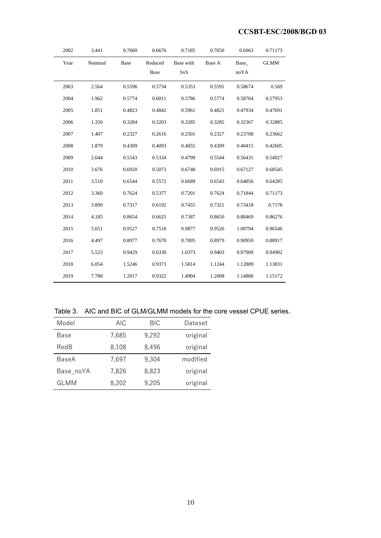| 2002 | 3.441   | 0.7660 | 0.6676          | 0.7185                  | 0.7650 | 0.6963       | 0.71173     |
|------|---------|--------|-----------------|-------------------------|--------|--------------|-------------|
| Year | Nominal | Base   | Reduced<br>Base | Base with<br><b>SxS</b> | Base A | Base<br>noYA | <b>GLMM</b> |
| 2003 | 2.564   | 0.5596 | 0.5734          | 0.5353                  | 0.5591 | 0.58674      | 0.569       |
| 2004 | 1.962   | 0.5774 | 0.6011          | 0.5786                  | 0.5774 | 0.58764      | 0.57953     |
| 2005 | 1.851   | 0.4823 | 0.4842          | 0.5961                  | 0.4821 | 0.47934      | 0.47691     |
| 2006 | 1.350   | 0.3284 | 0.3203          | 0.3285                  | 0.3285 | 0.32367      | 0.32885     |
| 2007 | 1.407   | 0.2327 | 0.2616          | 0.2501                  | 0.2327 | 0.23708      | 0.23662     |
| 2008 | 1.879   | 0.4309 | 0.4093          | 0.4055                  | 0.4309 | 0.40415      | 0.42605     |
| 2009 | 2.644   | 0.5543 | 0.5334          | 0.4799                  | 0.5544 | 0.56431      | 0.54927     |
| 2010 | 3.676   | 0.6920 | 0.5073          | 0.6748                  | 0.6915 | 0.67127      | 0.68545     |
| 2011 | 3.510   | 0.6544 | 0.5572          | 0.6689                  | 0.6543 | 0.64056      | 0.64285     |
| 2012 | 3.360   | 0.7624 | 0.5377          | 0.7201                  | 0.7624 | 0.71844      | 0.71173     |
| 2013 | 3.890   | 0.7317 | 0.6192          | 0.7455                  | 0.7321 | 0.73418      | 0.7178      |
| 2014 | 4.185   | 0.8654 | 0.6625          | 0.7387                  | 0.8650 | 0.88469      | 0.86276     |
| 2015 | 5.651   | 0.9527 | 0.7518          | 0.9877                  | 0.9526 | 1.00794      | 0.96546     |
| 2016 | 4.497   | 0.8977 | 0.7678          | 0.7895                  | 0.8979 | 0.90959      | 0.88917     |
| 2017 | 5.523   | 0.9429 | 0.6330          | 1.0373                  | 0.9403 | 0.97909      | 0.94982     |
| 2018 | 6.054   | 1.5246 | 0.9373          | 1.5814                  | 1.1244 | 1.12889      | 1.13831     |
| 2019 | 7.780   | 1.2017 | 0.9322          | 1.4904                  | 1.2008 | 1.14806      | 1.15172     |

Table 3. AIC and BIC of GLM/GLMM models for the core vessel CPUE series.

| Model       | <b>AIC</b> | <b>BIC</b> | Dataset  |
|-------------|------------|------------|----------|
| Base        | 7,685      | 9,292      | original |
| RedB        | 8,108      | 8,496      | original |
| BaseA       | 7,697      | 9,304      | modified |
| Base noYA   | 7,826      | 8,823      | original |
| <b>GLMM</b> | 8,202      | 9,205      | original |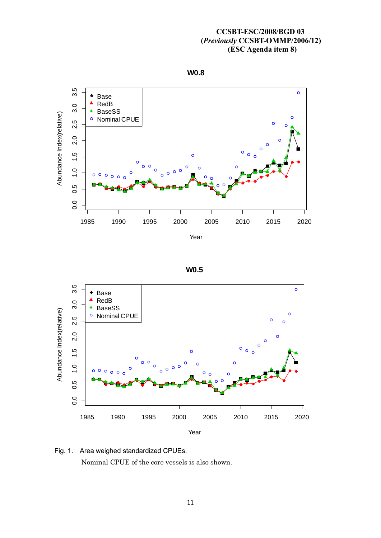







Fig. 1. Area weighed standardized CPUEs. Nominal CPUE of the core vessels is also shown.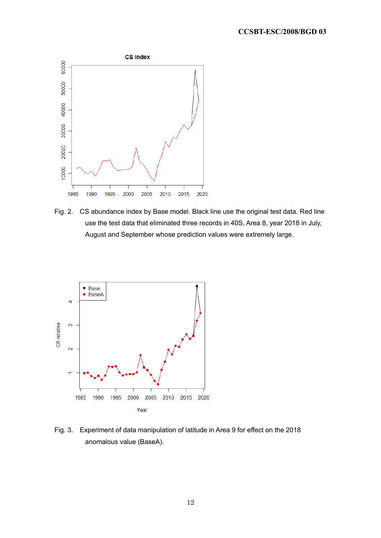

Fig. 2. CS abundance index by Base model. Black line use the original test data. Red line use the test data that eliminated three records in 40S, Area 8, year 2018 in July, August and September whose prediction values were extremely large.



Fig. 3. Experiment of data manipulation of latitude in Area 9 for effect on the 2018 anomalous value (BaseA).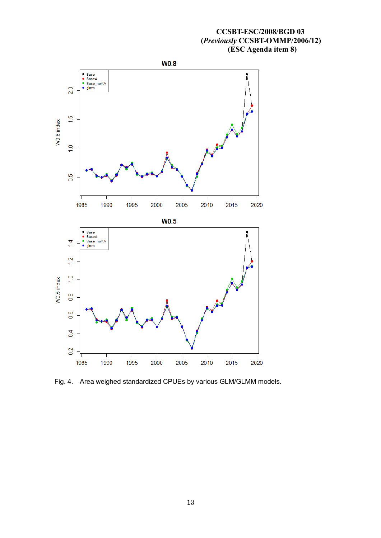

Fig. 4. Area weighed standardized CPUEs by various GLM/GLMM models.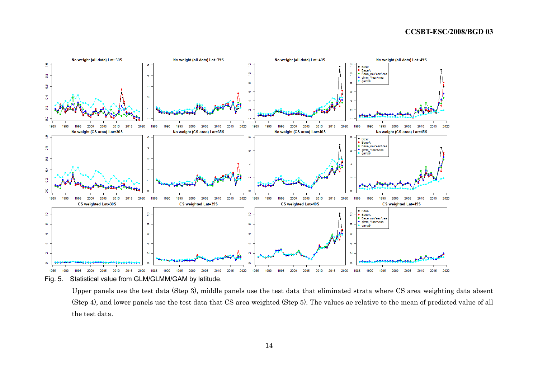

Fig. 5. Statistical value from GLM/GLMM/GAM by latitude.

Upper panels use the test data (Step 3), middle panels use the test data that eliminated strata where CS area weighting data absent (Step 4), and lower panels use the test data that CS area weighted (Step 5). The values ae relative to the mean of predicted value of all the test data.